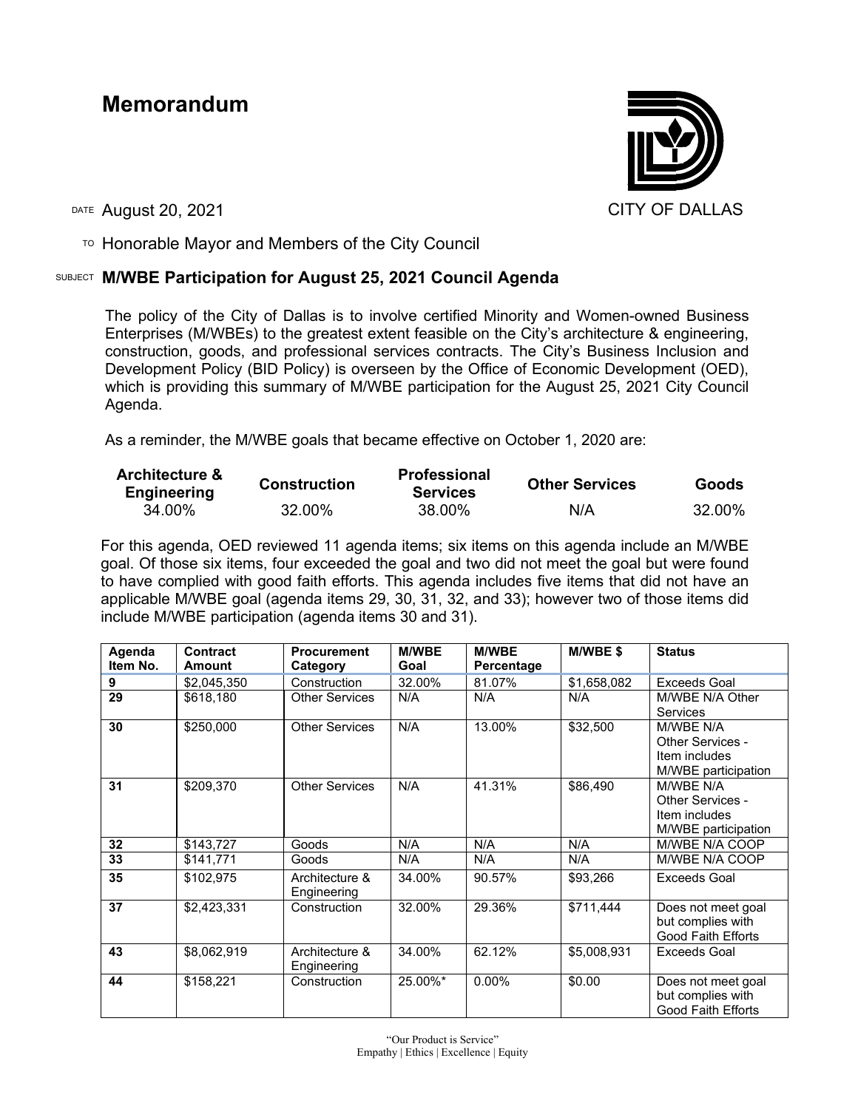## **Memorandum**



DATE August 20, 2021 CITY OF DALLAS

 $T$ <sup>O</sup> Honorable Mayor and Members of the City Council

## SUBJECT **M/WBE Participation for August 25, 2021 Council Agenda**

The policy of the City of Dallas is to involve certified Minority and Women-owned Business Enterprises (M/WBEs) to the greatest extent feasible on the City's architecture & engineering, construction, goods, and professional services contracts. The City's Business Inclusion and Development Policy (BID Policy) is overseen by the Office of Economic Development (OED), which is providing this summary of M/WBE participation for the August 25, 2021 City Council Agenda.

As a reminder, the M/WBE goals that became effective on October 1, 2020 are:

| <b>Architecture &amp;</b><br><b>Engineering</b> | <b>Construction</b> | Professional<br><b>Services</b> | <b>Other Services</b> | Goods  |  |
|-------------------------------------------------|---------------------|---------------------------------|-----------------------|--------|--|
| 34.00%                                          | 32.00%              | 38.00%                          | N/A                   | 32.00% |  |

For this agenda, OED reviewed 11 agenda items; six items on this agenda include an M/WBE goal. Of those six items, four exceeded the goal and two did not meet the goal but were found to have complied with good faith efforts. This agenda includes five items that did not have an applicable M/WBE goal (agenda items 29, 30, 31, 32, and 33); however two of those items did include M/WBE participation (agenda items 30 and 31).

| Agenda<br>Item No. | <b>Contract</b><br>Amount | <b>Procurement</b><br>Category | <b>M/WBE</b><br>Goal | <b>M/WBE</b><br>Percentage | M/WBE\$     | <b>Status</b>                                                                |
|--------------------|---------------------------|--------------------------------|----------------------|----------------------------|-------------|------------------------------------------------------------------------------|
| 9                  | \$2,045,350               | Construction                   | 32.00%               | 81.07%                     | \$1,658,082 | <b>Exceeds Goal</b>                                                          |
| 29                 | \$618,180                 | <b>Other Services</b>          | N/A                  | N/A                        | N/A         | M/WBE N/A Other<br><b>Services</b>                                           |
| 30                 | \$250,000                 | <b>Other Services</b>          | N/A                  | 13.00%                     | \$32,500    | M/WBE N/A<br>Other Services -<br>Item includes<br>M/WBE participation        |
| 31                 | \$209,370                 | <b>Other Services</b>          | N/A                  | 41.31%                     | \$86,490    | M/WBE N/A<br><b>Other Services -</b><br>Item includes<br>M/WBE participation |
| 32                 | \$143,727                 | Goods                          | N/A                  | N/A                        | N/A         | M/WBE N/A COOP                                                               |
| 33                 | \$141,771                 | Goods                          | N/A                  | N/A                        | N/A         | M/WBE N/A COOP                                                               |
| 35                 | \$102,975                 | Architecture &<br>Engineering  | 34.00%               | 90.57%                     | \$93,266    | <b>Exceeds Goal</b>                                                          |
| 37                 | \$2,423,331               | Construction                   | 32.00%               | 29.36%                     | \$711,444   | Does not meet goal<br>but complies with<br><b>Good Faith Efforts</b>         |
| 43                 | \$8,062,919               | Architecture &<br>Engineering  | 34.00%               | 62.12%                     | \$5,008,931 | <b>Exceeds Goal</b>                                                          |
| 44                 | \$158,221                 | Construction                   | 25.00%*              | $0.00\%$                   | \$0.00      | Does not meet goal<br>but complies with<br>Good Faith Efforts                |